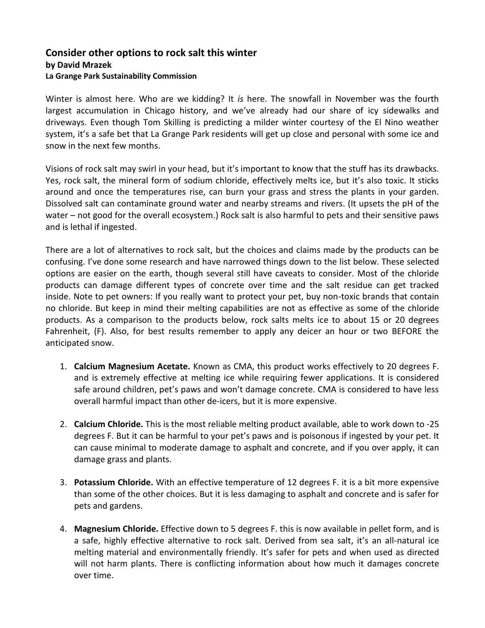## **Consider other options to rock salt this winter by David Mrazek La Grange Park Sustainability Commission**

Winter is almost here. Who are we kidding? It *is* here. The snowfall in November was the fourth largest accumulation in Chicago history, and we've already had our share of icy sidewalks and driveways. Even though Tom Skilling is predicting a milder winter courtesy of the El Nino weather system, it's a safe bet that La Grange Park residents will get up close and personal with some ice and snow in the next few months.

Visions of rock salt may swirl in your head, but it's important to know that the stuff has its drawbacks. Yes, rock salt, the mineral form of sodium chloride, effectively melts ice, but it's also toxic. It sticks around and once the temperatures rise, can burn your grass and stress the plants in your garden. Dissolved salt can contaminate ground water and nearby streams and rivers. (It upsets the pH of the water – not good for the overall ecosystem.) Rock salt is also harmful to pets and their sensitive paws and is lethal if ingested.

There are a lot of alternatives to rock salt, but the choices and claims made by the products can be confusing. I've done some research and have narrowed things down to the list below. These selected options are easier on the earth, though several still have caveats to consider. Most of the chloride products can damage different types of concrete over time and the salt residue can get tracked inside. Note to pet owners: If you really want to protect your pet, buy non-toxic brands that contain no chloride. But keep in mind their melting capabilities are not as effective as some of the chloride products. As a comparison to the products below, rock salts melts ice to about 15 or 20 degrees Fahrenheit, (F). Also, for best results remember to apply any deicer an hour or two BEFORE the anticipated snow.

- 1. **Calcium Magnesium Acetate.** Known as CMA, this product works effectively to 20 degrees F. and is extremely effective at melting ice while requiring fewer applications. It is considered safe around children, pet's paws and won't damage concrete. CMA is considered to have less overall harmful impact than other de-icers, but it is more expensive.
- 2. **Calcium Chloride.** This is the most reliable melting product available, able to work down to -25 degrees F. But it can be harmful to your pet's paws and is poisonous if ingested by your pet. It can cause minimal to moderate damage to asphalt and concrete, and if you over apply, it can damage grass and plants.
- 3. **Potassium Chloride.** With an effective temperature of 12 degrees F. it is a bit more expensive than some of the other choices. But it is less damaging to asphalt and concrete and is safer for pets and gardens.
- 4. **Magnesium Chloride.** Effective down to 5 degrees F. this is now available in pellet form, and is a safe, highly effective alternative to rock salt. Derived from sea salt, it's an all-natural ice melting material and environmentally friendly. It's safer for pets and when used as directed will not harm plants. There is conflicting information about how much it damages concrete over time.